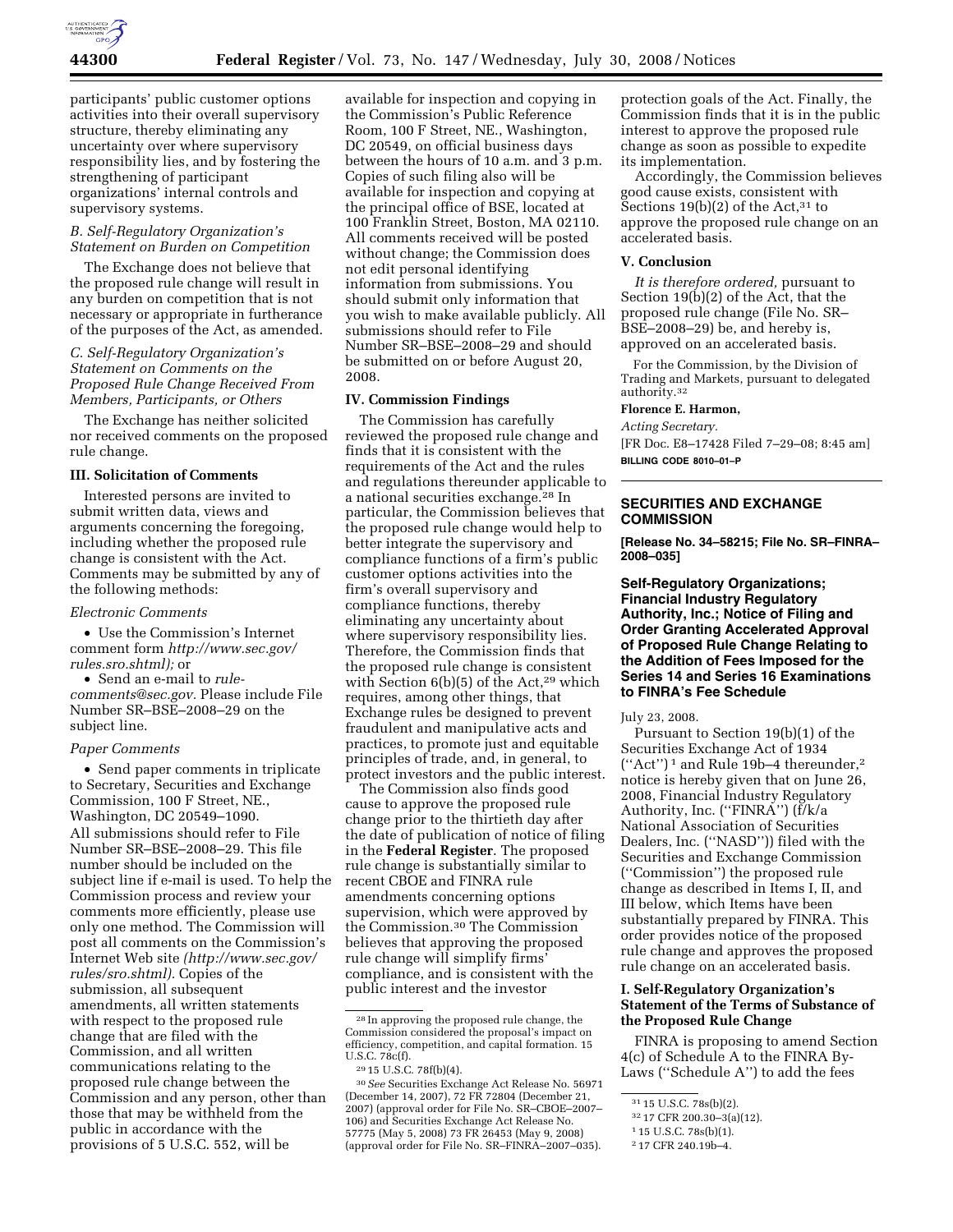

participants' public customer options activities into their overall supervisory structure, thereby eliminating any uncertainty over where supervisory responsibility lies, and by fostering the strengthening of participant organizations' internal controls and supervisory systems.

## *B. Self-Regulatory Organization's Statement on Burden on Competition*

The Exchange does not believe that the proposed rule change will result in any burden on competition that is not necessary or appropriate in furtherance of the purposes of the Act, as amended.

*C. Self-Regulatory Organization's Statement on Comments on the Proposed Rule Change Received From Members, Participants, or Others* 

The Exchange has neither solicited nor received comments on the proposed rule change.

#### **III. Solicitation of Comments**

Interested persons are invited to submit written data, views and arguments concerning the foregoing, including whether the proposed rule change is consistent with the Act. Comments may be submitted by any of the following methods:

#### *Electronic Comments*

• Use the Commission's Internet comment form *http://www.sec.gov/ rules.sro.shtml);* or

• Send an e-mail to *rulecomments@sec.gov.* Please include File Number SR–BSE–2008–29 on the subject line.

#### *Paper Comments*

• Send paper comments in triplicate to Secretary, Securities and Exchange Commission, 100 F Street, NE., Washington, DC 20549–1090. All submissions should refer to File Number SR–BSE–2008–29. This file number should be included on the subject line if e-mail is used. To help the Commission process and review your comments more efficiently, please use only one method. The Commission will post all comments on the Commission's Internet Web site *(http://www.sec.gov/ rules/sro.shtml).* Copies of the submission, all subsequent amendments, all written statements with respect to the proposed rule change that are filed with the Commission, and all written communications relating to the proposed rule change between the Commission and any person, other than those that may be withheld from the public in accordance with the provisions of 5 U.S.C. 552, will be

available for inspection and copying in the Commission's Public Reference Room, 100 F Street, NE., Washington, DC 20549, on official business days between the hours of 10 a.m. and 3 p.m. Copies of such filing also will be available for inspection and copying at the principal office of BSE, located at 100 Franklin Street, Boston, MA 02110. All comments received will be posted without change; the Commission does not edit personal identifying information from submissions. You should submit only information that you wish to make available publicly. All submissions should refer to File Number SR–BSE–2008–29 and should be submitted on or before August 20, 2008.

### **IV. Commission Findings**

The Commission has carefully reviewed the proposed rule change and finds that it is consistent with the requirements of the Act and the rules and regulations thereunder applicable to a national securities exchange.28 In particular, the Commission believes that the proposed rule change would help to better integrate the supervisory and compliance functions of a firm's public customer options activities into the firm's overall supervisory and compliance functions, thereby eliminating any uncertainty about where supervisory responsibility lies. Therefore, the Commission finds that the proposed rule change is consistent with Section  $6(b)(5)$  of the Act,<sup>29</sup> which requires, among other things, that Exchange rules be designed to prevent fraudulent and manipulative acts and practices, to promote just and equitable principles of trade, and, in general, to protect investors and the public interest.

The Commission also finds good cause to approve the proposed rule change prior to the thirtieth day after the date of publication of notice of filing in the **Federal Register**. The proposed rule change is substantially similar to recent CBOE and FINRA rule amendments concerning options supervision, which were approved by the Commission.30 The Commission believes that approving the proposed rule change will simplify firms' compliance, and is consistent with the public interest and the investor

30*See* Securities Exchange Act Release No. 56971 (December 14, 2007), 72 FR 72804 (December 21, 2007) (approval order for File No. SR–CBOE–2007– 106) and Securities Exchange Act Release No. 57775 (May 5, 2008) 73 FR 26453 (May 9, 2008) (approval order for File No. SR–FINRA–2007–035).

protection goals of the Act. Finally, the Commission finds that it is in the public interest to approve the proposed rule change as soon as possible to expedite its implementation.

Accordingly, the Commission believes good cause exists, consistent with Sections  $19(b)(2)$  of the Act,<sup>31</sup> to approve the proposed rule change on an accelerated basis.

#### **V. Conclusion**

*It is therefore ordered,* pursuant to Section 19(b)(2) of the Act, that the proposed rule change (File No. SR– BSE–2008–29) be, and hereby is, approved on an accelerated basis.

For the Commission, by the Division of Trading and Markets, pursuant to delegated authority.32

# **Florence E. Harmon,**

*Acting Secretary.*  [FR Doc. E8–17428 Filed 7–29–08; 8:45 am] **BILLING CODE 8010–01–P** 

## **SECURITIES AND EXCHANGE COMMISSION**

**[Release No. 34–58215; File No. SR–FINRA– 2008–035]** 

**Self-Regulatory Organizations; Financial Industry Regulatory Authority, Inc.; Notice of Filing and Order Granting Accelerated Approval of Proposed Rule Change Relating to the Addition of Fees Imposed for the Series 14 and Series 16 Examinations to FINRA's Fee Schedule** 

### July 23, 2008.

Pursuant to Section 19(b)(1) of the Securities Exchange Act of 1934  $("Act")^1$  and Rule 19b-4 thereunder,<sup>2</sup> notice is hereby given that on June 26, 2008, Financial Industry Regulatory Authority, Inc. ("FINRA") (f/k/a National Association of Securities Dealers, Inc. (''NASD'')) filed with the Securities and Exchange Commission (''Commission'') the proposed rule change as described in Items I, II, and III below, which Items have been substantially prepared by FINRA. This order provides notice of the proposed rule change and approves the proposed rule change on an accelerated basis.

# **I. Self-Regulatory Organization's Statement of the Terms of Substance of the Proposed Rule Change**

FINRA is proposing to amend Section 4(c) of Schedule A to the FINRA By-Laws (''Schedule A'') to add the fees

<sup>28</sup> In approving the proposed rule change, the Commission considered the proposal's impact on efficiency, competition, and capital formation. 15 U.S.C. 78c(f).

<sup>29</sup> 15 U.S.C. 78f(b)(4).

<sup>31</sup> 15 U.S.C. 78s(b)(2).

<sup>32</sup> 17 CFR 200.30–3(a)(12).

<sup>1</sup> 15 U.S.C. 78s(b)(1).

<sup>2</sup> 17 CFR 240.19b–4.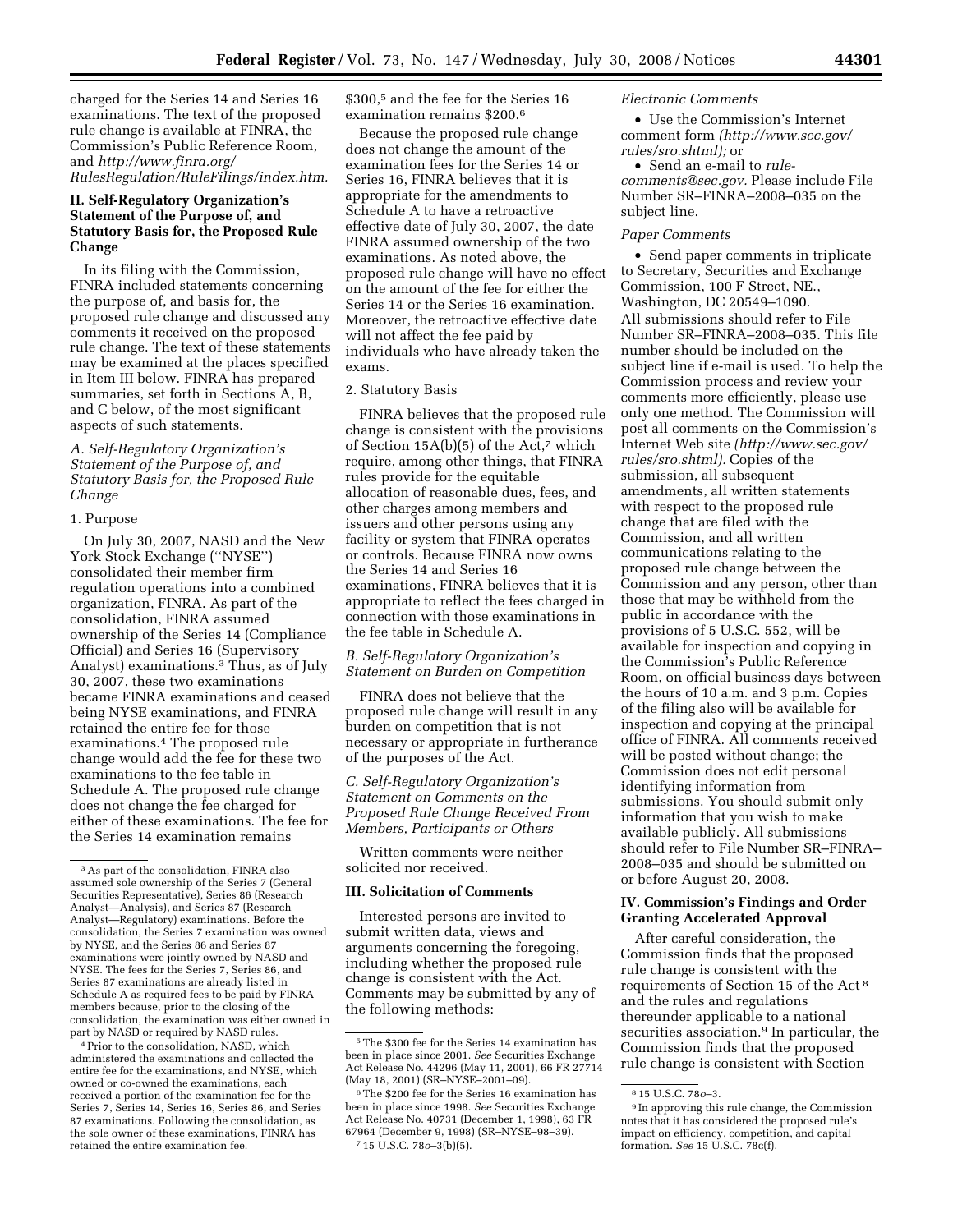charged for the Series 14 and Series 16 examinations. The text of the proposed rule change is available at FINRA, the Commission's Public Reference Room, and *http://www.finra.org/ RulesRegulation/RuleFilings/index.htm.* 

# **II. Self-Regulatory Organization's Statement of the Purpose of, and Statutory Basis for, the Proposed Rule Change**

In its filing with the Commission, FINRA included statements concerning the purpose of, and basis for, the proposed rule change and discussed any comments it received on the proposed rule change. The text of these statements may be examined at the places specified in Item III below. FINRA has prepared summaries, set forth in Sections A, B, and C below, of the most significant aspects of such statements.

# *A. Self-Regulatory Organization's Statement of the Purpose of, and Statutory Basis for, the Proposed Rule Change*

#### 1. Purpose

On July 30, 2007, NASD and the New York Stock Exchange (''NYSE'') consolidated their member firm regulation operations into a combined organization, FINRA. As part of the consolidation, FINRA assumed ownership of the Series 14 (Compliance Official) and Series 16 (Supervisory Analyst) examinations.3 Thus, as of July 30, 2007, these two examinations became FINRA examinations and ceased being NYSE examinations, and FINRA retained the entire fee for those examinations.4 The proposed rule change would add the fee for these two examinations to the fee table in Schedule A. The proposed rule change does not change the fee charged for either of these examinations. The fee for the Series 14 examination remains

4Prior to the consolidation, NASD, which administered the examinations and collected the entire fee for the examinations, and NYSE, which owned or co-owned the examinations, each received a portion of the examination fee for the Series 7, Series 14, Series 16, Series 86, and Series 87 examinations. Following the consolidation, as the sole owner of these examinations, FINRA has retained the entire examination fee.

\$300,5 and the fee for the Series 16 examination remains \$200.6

Because the proposed rule change does not change the amount of the examination fees for the Series 14 or Series 16, FINRA believes that it is appropriate for the amendments to Schedule A to have a retroactive effective date of July 30, 2007, the date FINRA assumed ownership of the two examinations. As noted above, the proposed rule change will have no effect on the amount of the fee for either the Series 14 or the Series 16 examination. Moreover, the retroactive effective date will not affect the fee paid by individuals who have already taken the exams.

#### 2. Statutory Basis

FINRA believes that the proposed rule change is consistent with the provisions of Section 15A(b)(5) of the Act,7 which require, among other things, that FINRA rules provide for the equitable allocation of reasonable dues, fees, and other charges among members and issuers and other persons using any facility or system that FINRA operates or controls. Because FINRA now owns the Series 14 and Series 16 examinations, FINRA believes that it is appropriate to reflect the fees charged in connection with those examinations in the fee table in Schedule A.

## *B. Self-Regulatory Organization's Statement on Burden on Competition*

FINRA does not believe that the proposed rule change will result in any burden on competition that is not necessary or appropriate in furtherance of the purposes of the Act.

# *C. Self-Regulatory Organization's Statement on Comments on the Proposed Rule Change Received From Members, Participants or Others*

Written comments were neither solicited nor received.

### **III. Solicitation of Comments**

Interested persons are invited to submit written data, views and arguments concerning the foregoing, including whether the proposed rule change is consistent with the Act. Comments may be submitted by any of the following methods:

#### *Electronic Comments*

• Use the Commission's Internet comment form *(http://www.sec.gov/ rules/sro.shtml);* or

• Send an e-mail to *rulecomments@sec.gov.* Please include File Number SR–FINRA–2008–035 on the subject line.

#### *Paper Comments*

• Send paper comments in triplicate to Secretary, Securities and Exchange Commission, 100 F Street, NE., Washington, DC 20549–1090. All submissions should refer to File Number SR–FINRA–2008–035. This file number should be included on the subject line if e-mail is used. To help the Commission process and review your comments more efficiently, please use only one method. The Commission will post all comments on the Commission's Internet Web site *(http://www.sec.gov/ rules/sro.shtml).* Copies of the submission, all subsequent amendments, all written statements with respect to the proposed rule change that are filed with the Commission, and all written communications relating to the proposed rule change between the Commission and any person, other than those that may be withheld from the public in accordance with the provisions of 5 U.S.C. 552, will be available for inspection and copying in the Commission's Public Reference Room, on official business days between the hours of 10 a.m. and 3 p.m. Copies of the filing also will be available for inspection and copying at the principal office of FINRA. All comments received will be posted without change; the Commission does not edit personal identifying information from submissions. You should submit only information that you wish to make available publicly. All submissions should refer to File Number SR–FINRA– 2008–035 and should be submitted on or before August 20, 2008.

### **IV. Commission's Findings and Order Granting Accelerated Approval**

After careful consideration, the Commission finds that the proposed rule change is consistent with the requirements of Section 15 of the Act 8 and the rules and regulations thereunder applicable to a national securities association.<sup>9</sup> In particular, the Commission finds that the proposed rule change is consistent with Section

<sup>3</sup>As part of the consolidation, FINRA also assumed sole ownership of the Series 7 (General Securities Representative), Series 86 (Research Analyst—Analysis), and Series 87 (Research Analyst—Regulatory) examinations. Before the consolidation, the Series 7 examination was owned by NYSE, and the Series 86 and Series 87 examinations were jointly owned by NASD and NYSE. The fees for the Series 7, Series 86, and Series 87 examinations are already listed in Schedule A as required fees to be paid by FINRA members because, prior to the closing of the consolidation, the examination was either owned in part by NASD or required by NASD rules.

<sup>5</sup>The \$300 fee for the Series 14 examination has been in place since 2001. *See* Securities Exchange Act Release No. 44296 (May 11, 2001), 66 FR 27714 (May 18, 2001) (SR–NYSE–2001–09).

<sup>6</sup>The \$200 fee for the Series 16 examination has been in place since 1998. *See* Securities Exchange Act Release No. 40731 (December 1, 1998), 63 FR 67964 (December 9, 1998) (SR–NYSE–98–39). 7 15 U.S.C. 78*o*–3(b)(5).

<sup>8</sup> 15 U.S.C. 78*o*–3.

<sup>9</sup> In approving this rule change, the Commission notes that it has considered the proposed rule's impact on efficiency, competition, and capital formation. *See* 15 U.S.C. 78c(f).